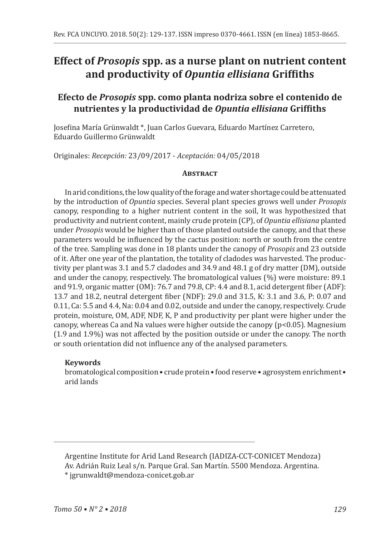# **Effect of** *Prosopis* **spp. as a nurse plant on nutrient content and productivity of** *Opuntia ellisiana* **Griffiths**

# **Efecto de** *Prosopis* **spp. como planta nodriza sobre el contenido de nutrientes y la productividad de** *Opuntia ellisiana* **Griffiths**

Josefina María Grünwaldt \*, Juan Carlos Guevara, Eduardo Martínez Carretero, Eduardo Guillermo Grünwaldt

Originales: *Recepción:* 23/09/2017 - *Aceptación:* 04/05/2018

### **Abstract**

In arid conditions, the low quality of the forage and water shortage could be attenuated by the introduction of *Opuntia* species. Several plant species grows well under *Prosopis* canopy, responding to a higher nutrient content in the soil, It was hypothesized that productivity and nutrient content, mainly crude protein (CP), of *Opuntia ellisiana* planted under *Prosopis* would be higher than of those planted outside the canopy, and that these parameters would be influenced by the cactus position: north or south from the centre of the tree. Sampling was done in 18 plants under the canopy of *Prosopis* and 23 outside of it. After one year of the plantation, the totality of cladodes was harvested. The productivity per plantwas 3.1 and 5.7 cladodes and 34.9 and 48.1 g of dry matter (DM), outside and under the canopy, respectively. The bromatological values (%) were moisture: 89.1 and 91.9, organic matter (OM): 76.7 and 79.8, CP: 4.4 and 8.1, acid detergent fiber (ADF): 13.7 and 18.2, neutral detergent fiber (NDF): 29.0 and 31.5, K: 3.1 and 3.6, P: 0.07 and 0.11, Ca: 5.5 and 4.4, Na: 0.04 and 0.02, outside and under the canopy, respectively. Crude protein, moisture, OM, ADF, NDF, K, P and productivity per plant were higher under the canopy, whereas Ca and Na values were higher outside the canopy  $(p<0.05)$ . Magnesium (1.9 and 1.9%) was not affected by the position outside or under the canopy. The north or south orientation did not influence any of the analysed parameters.

# **Keywords**

bromatological composition • crude protein • food reserve • agrosystem enrichment • arid lands

Argentine Institute for Arid Land Research (IADIZA-CCT-CONICET Mendoza) Av. Adrián Ruiz Leal s/n. Parque Gral. San Martín. 5500 Mendoza. Argentina. \* jgrunwaldt@mendoza-conicet.gob.ar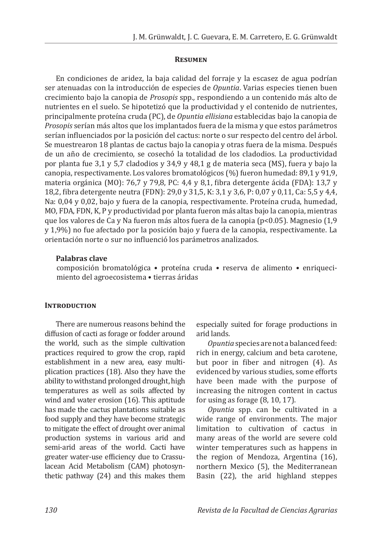#### **Resumen**

En condiciones de aridez, la baja calidad del forraje y la escasez de agua podrían ser atenuadas con la introducción de especies de *Opuntia*. Varias especies tienen buen crecimiento bajo la canopia de *Prosopis* spp*.,* respondiendo a un contenido más alto de nutrientes en el suelo. Se hipotetizó que la productividad y el contenido de nutrientes, principalmente proteína cruda (PC), de *Opuntia ellisiana* establecidas bajo la canopia de *Prosopis* serían más altos que los implantados fuera de la misma y que estos parámetros serían influenciados por la posición del cactus: norte o sur respecto del centro del árbol. Se muestrearon 18 plantas de cactus bajo la canopia y otras fuera de la misma. Después de un año de crecimiento, se cosechó la totalidad de los cladodios. La productividad por planta fue 3,1 y 5,7 cladodios y 34,9 y 48,1 g de materia seca (MS), fuera y bajo la canopia, respectivamente. Los valores bromatológicos (%) fueron humedad: 89,1 y 91,9, materia orgánica (MO): 76,7 y 79,8, PC: 4,4 y 8,1, fibra detergente ácida (FDA): 13,7 y 18,2, fibra detergente neutra (FDN): 29,0 y 31,5, K: 3,1 y 3,6, P: 0,07 y 0,11, Ca: 5,5 y 4,4, Na: 0,04 y 0,02, bajo y fuera de la canopia, respectivamente. Proteína cruda, humedad, MO, FDA, FDN, K, P y productividad por planta fueron más altas bajo la canopia, mientras que los valores de Ca y Na fueron más altos fuera de la canopia (p<0.05). Magnesio (1,9 y 1,9%) no fue afectado por la posición bajo y fuera de la canopia, respectivamente. La orientación norte o sur no influenció los parámetros analizados.

#### **Palabras clave**

composición bromatológica • proteína cruda • reserva de alimento • enriquecimiento del agroecosistema • tierras áridas

#### **INTRODUCTION**

There are numerous reasons behind the diffusion of cacti as forage or fodder around the world, such as the simple cultivation practices required to grow the crop, rapid establishment in a new area, easy multiplication practices (18). Also they have the ability to withstand prolonged drought, high temperatures as well as soils affected by wind and water erosion (16). This aptitude has made the cactus plantations suitable as food supply and they have become strategic to mitigate the effect of drought over animal production systems in various arid and semi-arid areas of the world. Cacti have greater water-use efficiency due to Crassulacean Acid Metabolism (CAM) photosynthetic pathway (24) and this makes them especially suited for forage productions in arid lands.

*Opuntia* species are not a balanced feed: rich in energy, calcium and beta carotene, but poor in fiber and nitrogen (4). As evidenced by various studies, some efforts have been made with the purpose of increasing the nitrogen content in cactus for using as forage (8, 10, 17).

*Opuntia* spp. can be cultivated in a wide range of environments. The major limitation to cultivation of cactus in many areas of the world are severe cold winter temperatures such as happens in the region of Mendoza, Argentina (16), northern Mexico (5), the Mediterranean Basin (22), the arid highland steppes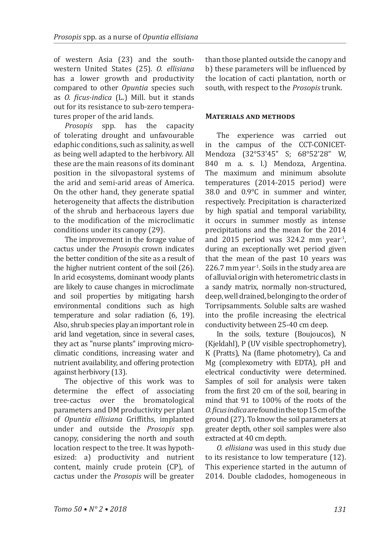of western Asia (23) and the southwestern United States (25). *O. ellisiana* has a lower growth and productivity compared to other *Opuntia* species such as *O. ficus-indica* (L.) Mill. but it stands out for its resistance to sub-zero temperatures proper of the arid lands.<br>*Prosonis* spn. has the

*Prosopis* spp. has the capacity of tolerating drought and unfavourable edaphic conditions, such as salinity, as well as being well adapted to the herbivory. All these are the main reasons of its dominant position in the silvopastoral systems of the arid and semi-arid areas of America. On the other hand, they generate spatial heterogeneity that affects the distribution of the shrub and herbaceous layers due to the modification of the microclimatic conditions under its canopy (29).

The improvement in the forage value of cactus under the *Prosopis* crown indicates the better condition of the site as a result of the higher nutrient content of the soil (26). In arid ecosystems, dominant woody plants are likely to cause changes in microclimate and soil properties by mitigating harsh environmental conditions such as high temperature and solar radiation (6, 19). Also, shrub species play an important role in arid land vegetation, since in several cases, they act as "nurse plants" improving microclimatic conditions, increasing water and nutrient availability, and offering protection against herbivory (13).

The objective of this work was to determine the effect of associating tree-cactus over the bromatological parameters and DM productivity per plant of *Opuntia ellisiana* Griffiths, implanted under and outside the *Prosopis* spp*.* canopy, considering the north and south location respect to the tree. It was hypothesized: a) productivity and nutrient content, mainly crude protein (CP), of cactus under the *Prosopis* will be greater than those planted outside the canopy and b) these parameters will be influenced by the location of cacti plantation, north or south, with respect to the *Prosopis* trunk.

#### **Materials and methods**

The experience was carried out in the campus of the CCT-CONICET-Mendoza (32°53'45" S; 68°52'28" W, 840 m a. s. l.) Mendoza, Argentina. The maximum and minimum absolute temperatures (2014-2015 period) were 38.0 and 0.9°C in summer and winter, respectively. Precipitation is characterized by high spatial and temporal variability, it occurs in summer mostly as intense precipitations and the mean for the 2014 and 2015 period was  $324.2$  mm year<sup>-1</sup>, during an exceptionally wet period given that the mean of the past 10 years was 226.7 mm year<sup>-1</sup>. Soils in the study area are of alluvial origin with heterometric clasts in a sandy matrix, normally non-structured, deep, well drained, belonging to the order of Torripsamments. Soluble salts are washed into the profile increasing the electrical conductivity between 25-40 cm deep.

In the soils, texture (Boujoucos), N (Kjeldahl), P (UV visible spectrophometry), K (Pratts), Na (flame photometry), Ca and Mg (complexometry with EDTA), pH and electrical conductivity were determined. Samples of soil for analysis were taken from the first 20 cm of the soil, bearing in mind that 91 to 100% of the roots of the *O. ficus indica* are found in the top 15 cm of the ground (27). To know the soil parameters at greater depth, other soil samples were also extracted at 40 cm depth.

*O. ellisiana* was used in this study due to its resistance to low temperature (12). This experience started in the autumn of 2014. Double cladodes, homogeneous in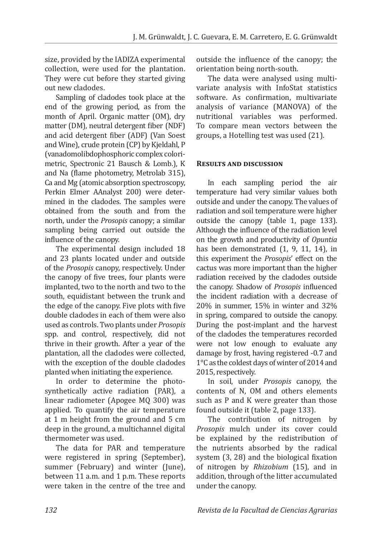size, provided by the IADIZA experimental collection, were used for the plantation. They were cut before they started giving out new cladodes.

Sampling of cladodes took place at the end of the growing period, as from the month of April. Organic matter (OM), dry matter (DM), neutral detergent fiber (NDF) and acid detergent fiber (ADF) (Van Soest and Wine), crude protein (CP) by Kjeldahl, P (vanadomolibdophosphoric complex colorimetric, Spectronic 21 Bausch & Lomb.), K and Na (flame photometry, Metrolab 315), Ca and Mg (atomic absorption spectroscopy, Perkin Elmer AAnalyst 200) were determined in the cladodes. The samples were obtained from the south and from the north, under the *Prosopis* canopy; a similar sampling being carried out outside the influence of the canopy.

The experimental design included 18 and 23 plants located under and outside of the *Prosopis* canopy, respectively. Under the canopy of five trees, four plants were implanted, two to the north and two to the south, equidistant between the trunk and the edge of the canopy. Five plots with five double cladodes in each of them were also used as controls. Two plants under *Prosopis* spp. and control, respectively, did not thrive in their growth. After a year of the plantation, all the cladodes were collected, with the exception of the double cladodes planted when initiating the experience.

In order to determine the photosynthetically active radiation (PAR), a linear radiometer (Apogee MQ 300) was applied. To quantify the air temperature at 1 m height from the ground and 5 cm deep in the ground, a multichannel digital thermometer was used.

The data for PAR and temperature were registered in spring (September), summer (February) and winter (June), between 11 a.m. and 1 p.m. These reports were taken in the centre of the tree and

outside the influence of the canopy; the orientation being north-south.

The data were analysed using multivariate analysis with InfoStat statistics software. As confirmation, multivariate analysis of variance (MANOVA) of the nutritional variables was performed. To compare mean vectors between the groups, a Hotelling test was used (21).

# **Results and discussion**

In each sampling period the air temperature had very similar values both outside and under the canopy. The values of radiation and soil temperature were higher outside the canopy (table 1, page 133). Although the influence of the radiation level on the growth and productivity of *Opuntia* has been demonstrated (1, 9, 11, 14), in this experiment the *Prosopis*' effect on the cactus was more important than the higher radiation received by the cladodes outside the canopy. Shadow of *Prosopis* influenced the incident radiation with a decrease of 20% in summer, 15% in winter and 32% in spring, compared to outside the canopy. During the post-implant and the harvest of the cladodes the temperatures recorded were not low enough to evaluate any damage by frost, having registered -0.7 and 1°C as the coldest days of winter of 2014 and 2015, respectively.

In soil, under *Prosopis* canopy, the contents of N, OM and others elements such as P and K were greater than those found outside it (table 2, page 133).

The contribution of nitrogen by *Prosopis* mulch under its cover could be explained by the redistribution of the nutrients absorbed by the radical system (3, 28) and the biological fixation of nitrogen by *Rhizobium* (15), and in addition, through of the litter accumulated under the canopy.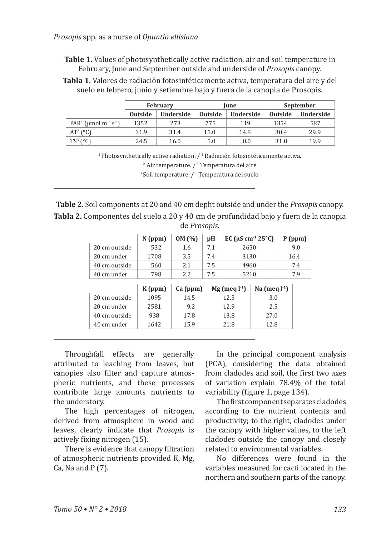**Table 1.** Values of photosynthetically active radiation, air and soil temperature in February, June and September outside and underside of *Prosopis* canopy.

**Tabla 1.** Valores de radiación fotosintéticamente activa, temperatura del aire y del suelo en febrero, junio y setiembre bajo y fuera de la canopia de Prosopis.

|                                                          | <b>February</b> |           | Iune           |           | September |                  |
|----------------------------------------------------------|-----------------|-----------|----------------|-----------|-----------|------------------|
|                                                          | <b>Outside</b>  | Underside | <b>Outside</b> | Underside | Outside   | <b>Underside</b> |
| PAR <sup>1</sup> (umol m <sup>-2</sup> s <sup>-1</sup> ) | 1352            | 273       | 775            | 119       | 1354      | 587              |
| $AT^2$ (°C)                                              | 31.9            | 31.4      | 15.0           | 14.8      | 30.4      | 29.9             |
| $TS^3$ ( $°C$ )                                          | 24.5            | 16.0      | 5.0            | 0.0       | 31.0      | 19.9             |

 $1$ Photosynthetically active radiation.  $/1$ Radiación fotosintéticamente activa. <sup>2</sup> Air temperature. / <sup>2</sup> Temperatura del aire 3 Soil temperature. / <sup>3</sup>Temperatura del suelo.

**Table 2.** Soil components at 20 and 40 cm depht outside and under the *Prosopis* canopy. **Tabla 2.** Componentes del suelo a 20 y 40 cm de profundidad bajo y fuera de la canopia de *Prosopis*.

|               | $N$ (ppm)            | OM(%)         | pH                | EC ( $\mu$ S cm <sup>-1</sup> 25°C) |                 |     | $P$ (ppm) |
|---------------|----------------------|---------------|-------------------|-------------------------------------|-----------------|-----|-----------|
| 20 cm outside | 532                  | 1.6           | 7.1               | 2650                                |                 | 9.0 |           |
| 20 cm under   | 1708                 | 3.5           | 7.4               | 3130                                |                 |     | 16.4      |
| 40 cm outside | 560                  | 2.1           | 7.5               | 4960                                |                 |     | 7.4       |
| 40 cm under   | 798                  | 2.2           | 7.5               | 5210                                |                 |     | 7.9       |
|               |                      |               |                   |                                     |                 |     |           |
|               | K(ppm)               | Ca(ppm)       | $Mg$ (meq $l-1$ ) |                                     | Na (meg $l-1$ ) |     |           |
| 20 cm outside | 1095                 | 14.5          |                   | 12.5                                | 3.0             |     |           |
| 20 cm under   | 2581                 | 9.2           |                   | 12.9                                | 2.5             |     |           |
|               | $\sim$ $\sim$ $\sim$ | $\sim$ $\sim$ |                   | $\sim$ $\sim$                       | $- -$           |     |           |

40 cm outside 938 17.8 13.8 27.0 40 cm under 1642 15.9 21.8 21.8 22.8

Throughfall effects are generally attributed to leaching from leaves, but canopies also filter and capture atmospheric nutrients, and these processes contribute large amounts nutrients to the understory.

The high percentages of nitrogen, derived from atmosphere in wood and leaves, clearly indicate that *Prosopis* is actively fixing nitrogen (15).

There is evidence that canopy filtration of atmospheric nutrients provided K, Mg, Ca, Na and  $P(7)$ .

In the principal component analysis (PCA), considering the data obtained from cladodes and soil, the first two axes of variation explain 78.4% of the total variability (figure 1, page 134).

The first component separates cladodes according to the nutrient contents and productivity; to the right, cladodes under the canopy with higher values, to the left cladodes outside the canopy and closely related to environmental variables.

No differences were found in the variables measured for cacti located in the northern and southern parts of the canopy.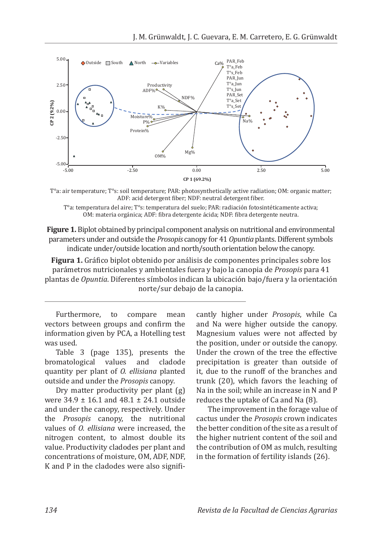



T°a: temperatura del aire; T°s: temperatura del suelo; PAR: radiación fotosintéticamente activa; OM: materia orgánica; ADF: fibra detergente ácida; NDF: fibra detergente neutra.

**Figure 1.** Biplot obtained by principal component analysis on nutritional and environmental parameters under and outside the *Prosopis* canopy for 41 *Opuntia* plants. Different symbols indicate under/outside location and north/south orientation below the canopy.

**Figura 1.** Gráfico biplot obtenido por análisis de componentes principales sobre los parámetros nutricionales y ambientales fuera y bajo la canopia de *Prosopis* para 41 plantas de *Opuntia*. Diferentes símbolos indican la ubicación bajo/fuera y la orientación norte/sur debajo de la canopia.

Furthermore, to compare mean vectors between groups and confirm the information given by PCA, a Hotelling test was used.

Table 3 (page 135), presents the<br>omatological values and cladode bromatological values quantity per plant of *O. ellisiana* planted outside and under the *Prosopis* canopy.

Dry matter productivity per plant (g) were 34.9 ± 16.1 and 48.1 ± 24.1 outside and under the canopy, respectively. Under the *Prosopis* canopy, the nutritional values of *O. ellisiana* were increased, the nitrogen content, to almost double its value. Productivity cladodes per plant and concentrations of moisture, OM, ADF, NDF, K and P in the cladodes were also significantly higher under *Prosopis*, while Ca and Na were higher outside the canopy. Magnesium values were not affected by the position, under or outside the canopy. Under the crown of the tree the effective precipitation is greater than outside of it, due to the runoff of the branches and trunk (20), which favors the leaching of Na in the soil; while an increase in N and P reduces the uptake of Ca and Na (8).

The improvement in the forage value of cactus under the *Prosopis* crown indicates the better condition of the site as a result of the higher nutrient content of the soil and the contribution of OM as mulch, resulting in the formation of fertility islands (26).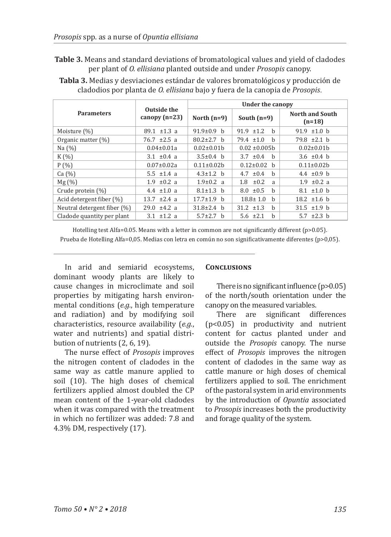**Table 3.** Means and standard deviations of bromatological values and yield of cladodes per plant of *O. ellisiana* planted outside and under *Prosopis* canopy.

|                             |                                | Under the canopy  |                       |                                    |  |
|-----------------------------|--------------------------------|-------------------|-----------------------|------------------------------------|--|
| <b>Parameters</b>           | Outside the<br>canopy $(n=23)$ | North $(n=9)$     | South $(n=9)$         | <b>North and South</b><br>$(n=18)$ |  |
| Moisture (%)                | 89.1 $\pm 1.3$ a               | $91.9 \pm 0.9$ b  | $91.9$ $\pm 1.2$<br>h | 91.9 $\pm 1.0$ b                   |  |
| Organic matter $(\%)$       | $76.7 \pm 2.5$ a               | $80.2 \pm 2.7$ h  | $79.4 \pm 1.0$<br>h   | $79.8 \pm 2.1$ b                   |  |
| Na $(%)$                    | $0.04 \pm 0.01a$               | $0.02 \pm 0.01$ h | $0.02 \pm 0.005$ b    | $0.02 \pm 0.01 b$                  |  |
| $K(\%)$                     | 3.1 $\pm 0.4$ a                | $3.5 \pm 0.4$ b   | $3.7 \pm 0.4$<br>h    | 3.6 $\pm 0.4$ b                    |  |
| $P($ %)                     | $0.07 \pm 0.02a$               | $0.11 \pm 0.02$   | $0.12 \pm 0.02$ h     | $0.11 \pm 0.02h$                   |  |
| Ca (%)                      | 5.5 $\pm 1.4$ a                | $4.3 \pm 1.2$ b   | 4.7 $\pm 0.4$<br>h    | 4.4 $\pm 0.9$ b                    |  |
| Mg(%)                       | $1.9 \pm 0.2$ a                | $1.9 \pm 0.2$ a   | $\pm 0.2$<br>1.8<br>a | $1.9 \pm 0.2$ a                    |  |
| Crude protein (%)           | 4.4 $\pm 1.0$ a                | $8.1 \pm 1.3$ h   | $8.0 \pm 0.5$<br>h    | $8.1 \pm 1.0$ h                    |  |
| Acid detergent fiber (%)    | $13.7 \pm 2.4$ a               | $17.7 \pm 1.9$ b  | $18.8 \pm 1.0$<br>h   | 18.2 $\pm 1.6$ b                   |  |
| Neutral detergent fiber (%) | $29.0 \pm 4.2 a$               | $31.8 \pm 2.4$ b  | $31.2 \pm 1.3$<br>h   | $31.5 \pm 1.9$ b                   |  |
| Cladode quantity per plant  | 3.1 $\pm 1.2$ a                | $5.7 \pm 2.7$ h   | $5.6 \pm 2.1$<br>b    | 5.7 $\pm 2.3$ b                    |  |

**Tabla 3.** Medias y desviaciones estándar de valores bromatológicos y producción de cladodios por planta de *O. ellisiana* bajo y fuera de la canopia de *Prosopis*.

Hotelling test Alfa=0.05. Means with a letter in common are not significantly different (p>0.05). Prueba de Hotelling Alfa=0,05. Medias con letra en común no son significativamente diferentes (p>0,05).

In arid and semiarid ecosystems, dominant woody plants are likely to cause changes in microclimate and soil properties by mitigating harsh environmental conditions (*e.g.*, high temperature and radiation) and by modifying soil characteristics, resource availability (*e.g.*, water and nutrients) and spatial distribution of nutrients (2, 6, 19).

The nurse effect of *Prosopis* improves the nitrogen content of cladodes in the same way as cattle manure applied to soil (10). The high doses of chemical fertilizers applied almost doubled the CP mean content of the 1-year-old cladodes when it was compared with the treatment in which no fertilizer was added: 7.8 and 4.3% DM, respectively (17).

#### **CONCLUSIONS**

There is no significant influence (p>0.05) of the north/south orientation under the canopy on the measured variables.<br>There are significant dif

significant differences (p<0.05) in productivity and nutrient content for cactus planted under and outside the *Prosopis* canopy. The nurse effect of *Prosopis* improves the nitrogen content of cladodes in the same way as cattle manure or high doses of chemical fertilizers applied to soil. The enrichment of the pastoral system in arid environments by the introduction of *Opuntia* associated to *Prosopis* increases both the productivity and forage quality of the system.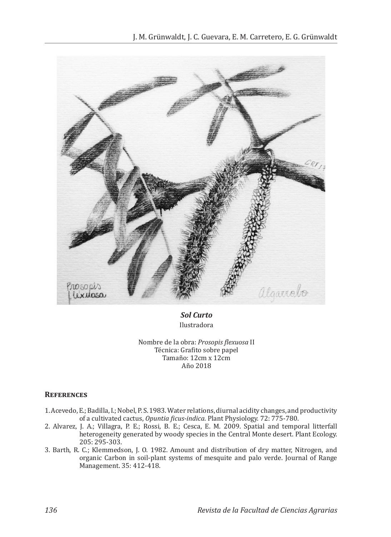

*Sol Curto* Ilustradora

Nombre de la obra: *Prosopis flexuosa* II Técnica: Grafito sobre papel Tamaño: 12cm x 12cm Año 2018

#### **References**

- 1. Acevedo, E.; Badilla, I.; Nobel, P. S. 1983. Water relations, diurnal acidity changes, and productivity of a cultivated cactus, *Opuntia ficus-indica*. Plant Physiology. 72: 775-780.
- 2. Alvarez, J. A.; Villagra, P. E.; Rossi, B. E.; Cesca, E. M. 2009. Spatial and temporal litterfall heterogeneity generated by woody species in the Central Monte desert. Plant Ecology. 205: 295-303.
- 3. Barth, R. C.; Klemmedson, J. O. 1982. Amount and distribution of dry matter, Nitrogen, and organic Carbon in soil-plant systems of mesquite and palo verde. Journal of Range Management. 35: 412-418.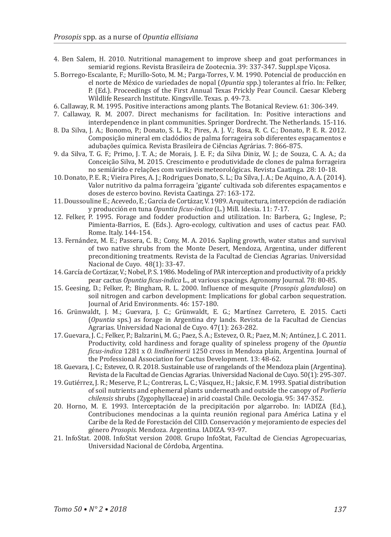- 4. Ben Salem, H. 2010. Nutritional management to improve sheep and goat performances in semiarid regions. Revista Brasileira de Zootecnia. 39: 337-347. Suppl.spe Viçosa.
- 5. Borrego-Escalante, F.; Murillo-Soto, M. M.; Parga-Torres, V. M. 1990. Potencial de producción en
	- el norte de México de variedades de nopal (*Opuntia* spp.) tolerantes al frío. In: Felker, P. (Ed.). Proceedings of the First Annual Texas Prickly Pear Council. Caesar Kleberg Wildlife Research Institute. Kingsville. Texas. p. 49-73.
		-
- 6. Callaway, R. M. 1995. Positive interactions among plants. The Botanical Review. 61: 306-349.
- 7. Callaway, R. M. 2007. Direct mechanisms for facilitation. In: Positive interactions and interdependence in plant communities. Springer Dordrecht. The Netherlands. 15-116.
- 8. Da Silva, J. A.; Bonomo, P.; Donato, S. L. R.; Pires, A. J. V.; Rosa, R. C. C.; Donato, P. E. R. 2012. Composição mineral em cladódios de palma forrageira sob diferentes espaçamentos e adubações química. Revista Brasileira de Ciências Agrárias. 7: 866-875.
- 9. da Silva, T. G. F.; Primo, J. T. A.; de Morais, J. E. F.; da Silva Diniz, W. J.; de Souza, C. A. A.; da Conceição Silva, M. 2015. Crescimento e produtividade de clones de palma forrageira no semiárido e relações com variáveis meteorológicas. Revista Caatinga. 28: 10-18.
- 10. Donato, P. E. R.; Vieira Pires, A. J.; Rodrigues Donato, S. L.; Da Silva, J. A.; De Aquino, A. A. (2014). Valor nutritivo da palma forrageira 'gigante' cultivada sob diferentes espaçamentos e doses de esterco bovino. Revista Caatinga. 27: 163-172.
- 11. Doussouline E.; Acevedo, E.; García de Cortázar, V. 1989. Arquitectura, intercepción de radiación y producción en tuna *Opuntia ficus-indica* (L.) Mill. Idesia. 11: 7-17.
- 12. Felker, P. 1995. Forage and fodder production and utilization. In: Barbera, G.; Inglese, P.; Pimienta-Barrios, E. (Eds.). Agro-ecology, cultivation and uses of cactus pear. FAO. Rome. Italy. 144-154.
- 13. Fernández, M. E.; Passera, C. B.; Cony, M. A. 2016. Sapling growth, water status and survival of two native shrubs from the Monte Desert, Mendoza, Argentina, under different preconditioning treatments. Revista de la Facultad de Ciencias Agrarias. Universidad Nacional de Cuyo. 48(1): 33-47.
- 14. García de Cortázar, V.; Nobel, P. S. 1986. Modeling of PAR interception and productivity of a prickly pear cactus *Opuntia ficus-indica* L., at various spacings. Agronomy Journal. 78: 80-85.
- 15. Geesing, D.; Felker, P.; Bingham, R. L. 2000. Influence of mesquite (*Prosopis glandulosa*) on soil nitrogen and carbon development: Implications for global carbon sequestration. Journal of Arid Environments. 46: 157-180.
- 16. Grünwaldt, J. M.; Guevara, J. C.; Grünwaldt, E. G.; Martínez Carretero, E. 2015. Cacti (*Opuntia* sps.) as forage in Argentina dry lands. Revista de la Facultad de Ciencias Agrarias. Universidad Nacional de Cuyo. 47(1): 263-282.
- 17. Guevara, J. C.; Felker, P.; Balzarini, M. G.; Paez, S. A.; Estevez, O. R.; Paez, M. N; Antúnez, J. C. 2011. Productivity, cold hardiness and forage quality of spineless progeny of the *Opuntia ficus-indica* 1281 x *O. lindheimerii* 1250 cross in Mendoza plain, Argentina. Journal of the Professional Association for Cactus Development. 13: 48-62.
- 18. Guevara, J. C.; Estevez, O. R. 2018. Sustainable use of rangelands of the Mendoza plain (Argentina). Revista de la Facultad de Ciencias Agrarias. Universidad Nacional de Cuyo. 50(1): 295-307.
- 19. Gutiérrez, J. R.; Meserve, P. L.; Contreras, L. C.; Vásquez, H.; Jaksic, F. M. 1993. Spatial distribution of soil nutrients and ephemeral plants underneath and outside the canopy of *Porlieria chilensis* shrubs (Zygophyllaceae) in arid coastal Chile. Oecologia. 95: 347-352.
- 20. Horno, M. E. 1993. Interceptación de la precipitación por algarrobo. In: IADIZA (Ed.), Contribuciones mendocinas a la quinta reunión regional para América Latina y el Caribe de la Red de Forestación del CIID. Conservación y mejoramiento de especies del género *Prosopis.* Mendoza. Argentina*.* IADIZA. 93-97.
- 21. InfoStat. 2008. InfoStat version 2008. Grupo InfoStat, Facultad de Ciencias Agropecuarias, Universidad Nacional de Córdoba, Argentina.